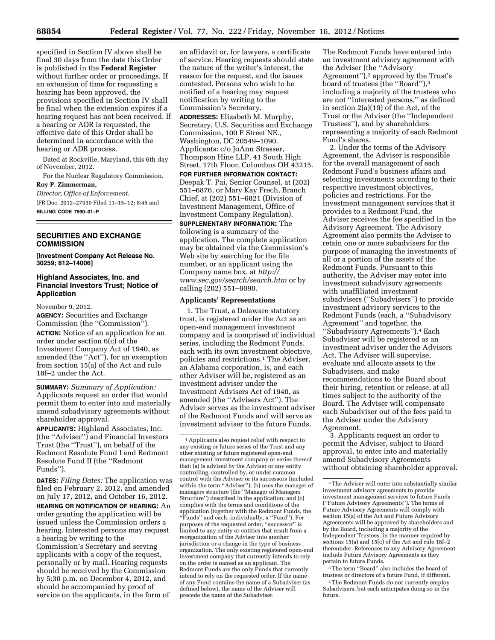

specified in Section IV above shall be final 30 days from the date this Order is published in the **Federal Register**  without further order or proceedings. If an extension of time for requesting a hearing has been approved, the provisions specified in Section IV shall be final when the extension expires if a hearing request has not been received. If a hearing or ADR is requested, the effective date of this Order shall be determined in accordance with the hearing or ADR process.

Dated at Rockville, Maryland, this 6th day of November, 2012.

For the Nuclear Regulatory Commission. **Roy P. Zimmerman,** 

*Director, Office of Enforcement.*  [FR Doc. 2012–27930 Filed 11–15–12; 8:45 am]

**BILLING CODE 7590–01–P** 

## **SECURITIES AND EXCHANGE COMMISSION**

**[Investment Company Act Release No. 30259; 812–14006]** 

## **Highland Associates, Inc. and Financial Investors Trust; Notice of Application**

November 9, 2012.

**AGENCY:** Securities and Exchange Commission (the ''Commission'').

**ACTION:** Notice of an application for an order under section 6(c) of the Investment Company Act of 1940, as amended (the ''Act''), for an exemption from section 15(a) of the Act and rule 18f–2 under the Act.

**SUMMARY:** *Summary of Application:*  Applicants request an order that would permit them to enter into and materially amend subadvisory agreements without shareholder approval.

**APPLICANTS:** Highland Associates, Inc. (the ''Adviser'') and Financial Investors Trust (the ''Trust''), on behalf of the Redmont Resolute Fund I and Redmont Resolute Fund II (the ''Redmont Funds'').

**DATES:** *Filing Dates:* The application was filed on February 2, 2012, and amended on July 17, 2012, and October 16, 2012.

**HEARING OR NOTIFICATION OF HEARING:** An order granting the application will be issued unless the Commission orders a hearing. Interested persons may request a hearing by writing to the Commission's Secretary and serving applicants with a copy of the request, personally or by mail. Hearing requests should be received by the Commission by 5:30 p.m. on December 4, 2012, and should be accompanied by proof of service on the applicants, in the form of

an affidavit or, for lawyers, a certificate of service. Hearing requests should state the nature of the writer's interest, the reason for the request, and the issues contested. Persons who wish to be notified of a hearing may request notification by writing to the Commission's Secretary.

**ADDRESSES:** Elizabeth M. Murphy, Secretary, U.S. Securities and Exchange Commission, 100 F Street NE., Washington, DC 20549–1090. Applicants: c/o JoAnn Strasser, Thompson Hine LLP, 41 South High Street, 17th Floor, Columbus OH 43215.

**FOR FURTHER INFORMATION CONTACT:**  Deepak T. Pai, Senior Counsel, at (202) 551–6876, or Mary Kay Frech, Branch Chief, at (202) 551–6821 (Division of Investment Management, Office of Investment Company Regulation).

**SUPPLEMENTARY INFORMATION:** The following is a summary of the application. The complete application may be obtained via the Commission's Web site by searching for the file number, or an applicant using the Company name box, at *[http://](http://www.sec.gov/search/search.htm) [www.sec.gov/search/search.htm](http://www.sec.gov/search/search.htm)* or by calling (202) 551–8090.

### **Applicants' Representations**

1. The Trust, a Delaware statutory trust, is registered under the Act as an open-end management investment company and is comprised of individual series, including the Redmont Funds, each with its own investment objective, policies and restrictions.1 The Adviser, an Alabama corporation, is, and each other Adviser will be, registered as an investment adviser under the Investment Advisers Act of 1940, as amended (the ''Advisers Act''). The Adviser serves as the investment adviser of the Redmont Funds and will serve as investment adviser to the future Funds.

1Applicants also request relief with respect to any existing or future series of the Trust and any other existing or future registered open-end management investment company or series thereof that: (a) Is advised by the Adviser or any entity controlling, controlled by, or under common control with the Adviser or its successors (included within the term ''Adviser''); (b) uses the manager of managers structure (the ''Manager of Managers Structure'') described in the application; and (c) complies with the terms and conditions of the application (together with the Redmont Funds, the ''Funds'' and each, individually, a ''Fund''). For purposes of the requested order, ''successor'' is limited to any entity or entities that result from a reorganization of the Adviser into another jurisdiction or a change in the type of business organization. The only existing registered open-end investment company that currently intends to rely on the order is named as an applicant. The Redmont Funds are the only Funds that currently intend to rely on the requested order. If the name of any Fund contains the name of a Subadviser (as defined below), the name of the Adviser will precede the name of the Subadviser.

The Redmont Funds have entered into an investment advisory agreement with the Adviser (the ''Advisory Agreement"),<sup>2</sup> approved by the Trust's board of trustees (the ''Board''),3 including a majority of the trustees who are not ''interested persons,'' as defined in section 2(a)(19) of the Act, of the Trust or the Adviser (the ''Independent Trustees''), and by shareholders representing a majority of each Redmont Fund's shares.

2. Under the terms of the Advisory Agreement, the Adviser is responsible for the overall management of each Redmont Fund's business affairs and selecting investments according to their respective investment objectives, policies and restrictions. For the investment management services that it provides to a Redmont Fund, the Adviser receives the fee specified in the Advisory Agreement. The Advisory Agreement also permits the Adviser to retain one or more subadvisers for the purpose of managing the investments of all or a portion of the assets of the Redmont Funds. Pursuant to this authority, the Adviser may enter into investment subadvisory agreements with unaffiliated investment subadvisers (''Subadvisers'') to provide investment advisory services to the Redmont Funds (each, a ''Subadvisory Agreement'' and together, the ''Subadvisory Agreements'').4 Each Subadviser will be registered as an investment adviser under the Advisers Act. The Adviser will supervise, evaluate and allocate assets to the Subadvisers, and make recommendations to the Board about their hiring, retention or release, at all times subject to the authority of the Board. The Adviser will compensate each Subadviser out of the fees paid to the Adviser under the Advisory Agreement.

3. Applicants request an order to permit the Adviser, subject to Board approval, to enter into and materially amend Subadvisory Agreements without obtaining shareholder approval.

3The term ''Board'' also includes the board of trustees or directors of a future Fund, if different.

4The Redmont Funds do not currently employ Subadvisers, but each anticipates doing so in the future.

<sup>2</sup>The Adviser will enter into substantially similar investment advisory agreements to provide investment management services to future Funds (''Future Advisory Agreements''). The terms of Future Advisory Agreements will comply with section 15(a) of the Act and Future Advisory Agreements will be approved by shareholders and by the Board, including a majority of the Independent Trustees, in the manner required by sections 15(a) and 15(c) of the Act and rule 18f–2 thereunder. References to any Advisory Agreement include Future Advisory Agreements as they pertain to future Funds.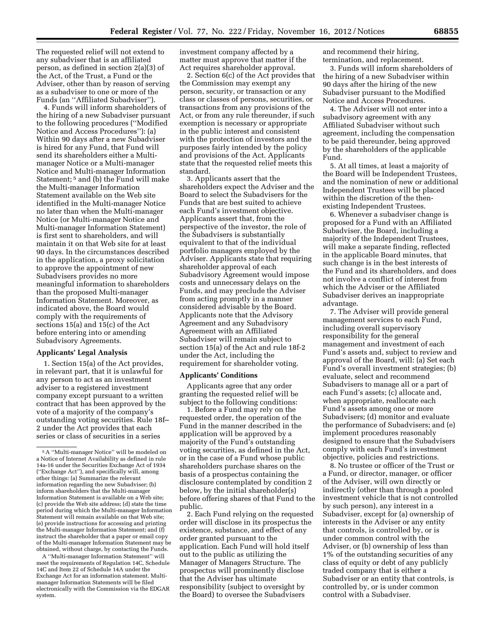The requested relief will not extend to any subadviser that is an affiliated person, as defined in section 2(a)(3) of the Act, of the Trust, a Fund or the Adviser, other than by reason of serving as a subadviser to one or more of the Funds (an ''Affiliated Subadviser'').

4. Funds will inform shareholders of the hiring of a new Subadviser pursuant to the following procedures (''Modified Notice and Access Procedures''): (a) Within 90 days after a new Subadviser is hired for any Fund, that Fund will send its shareholders either a Multimanager Notice or a Multi-manager Notice and Multi-manager Information Statement; 5 and (b) the Fund will make the Multi-manager Information Statement available on the Web site identified in the Multi-manager Notice no later than when the Multi-manager Notice (or Multi-manager Notice and Multi-manager Information Statement) is first sent to shareholders, and will maintain it on that Web site for at least 90 days. In the circumstances described in the application, a proxy solicitation to approve the appointment of new Subadvisers provides no more meaningful information to shareholders than the proposed Multi-manager Information Statement. Moreover, as indicated above, the Board would comply with the requirements of sections 15(a) and 15(c) of the Act before entering into or amending Subadvisory Agreements.

## **Applicants' Legal Analysis**

1. Section 15(a) of the Act provides, in relevant part, that it is unlawful for any person to act as an investment adviser to a registered investment company except pursuant to a written contract that has been approved by the vote of a majority of the company's outstanding voting securities. Rule 18f– 2 under the Act provides that each series or class of securities in a series

A ''Multi-manager Information Statement'' will meet the requirements of Regulation 14C, Schedule 14C and Item 22 of Schedule 14A under the Exchange Act for an information statement. Multimanager Information Statements will be filed electronically with the Commission via the EDGAR system.

investment company affected by a matter must approve that matter if the Act requires shareholder approval.

2. Section 6(c) of the Act provides that the Commission may exempt any person, security, or transaction or any class or classes of persons, securities, or transactions from any provisions of the Act, or from any rule thereunder, if such exemption is necessary or appropriate in the public interest and consistent with the protection of investors and the purposes fairly intended by the policy and provisions of the Act. Applicants state that the requested relief meets this standard.

3. Applicants assert that the shareholders expect the Adviser and the Board to select the Subadvisers for the Funds that are best suited to achieve each Fund's investment objective. Applicants assert that, from the perspective of the investor, the role of the Subadvisers is substantially equivalent to that of the individual portfolio managers employed by the Adviser. Applicants state that requiring shareholder approval of each Subadvisory Agreement would impose costs and unnecessary delays on the Funds, and may preclude the Adviser from acting promptly in a manner considered advisable by the Board. Applicants note that the Advisory Agreement and any Subadvisory Agreement with an Affiliated Subadviser will remain subject to section 15(a) of the Act and rule 18f-2 under the Act, including the requirement for shareholder voting.

#### **Applicants' Conditions**

Applicants agree that any order granting the requested relief will be subject to the following conditions:

1. Before a Fund may rely on the requested order, the operation of the Fund in the manner described in the application will be approved by a majority of the Fund's outstanding voting securities, as defined in the Act, or in the case of a Fund whose public shareholders purchase shares on the basis of a prospectus containing the disclosure contemplated by condition 2 below, by the initial shareholder(s) before offering shares of that Fund to the public.

2. Each Fund relying on the requested order will disclose in its prospectus the existence, substance, and effect of any order granted pursuant to the application. Each Fund will hold itself out to the public as utilizing the Manager of Managers Structure. The prospectus will prominently disclose that the Adviser has ultimate responsibility (subject to oversight by the Board) to oversee the Subadvisers

and recommend their hiring, termination, and replacement.

3. Funds will inform shareholders of the hiring of a new Subadviser within 90 days after the hiring of the new Subadviser pursuant to the Modified Notice and Access Procedures.

4. The Adviser will not enter into a subadvisory agreement with any Affiliated Subadviser without such agreement, including the compensation to be paid thereunder, being approved by the shareholders of the applicable Fund.

5. At all times, at least a majority of the Board will be Independent Trustees, and the nomination of new or additional Independent Trustees will be placed within the discretion of the thenexisting Independent Trustees.

6. Whenever a subadviser change is proposed for a Fund with an Affiliated Subadviser, the Board, including a majority of the Independent Trustees, will make a separate finding, reflected in the applicable Board minutes, that such change is in the best interests of the Fund and its shareholders, and does not involve a conflict of interest from which the Adviser or the Affiliated Subadviser derives an inappropriate advantage.

7. The Adviser will provide general management services to each Fund, including overall supervisory responsibility for the general management and investment of each Fund's assets and, subject to review and approval of the Board, will: (a) Set each Fund's overall investment strategies; (b) evaluate, select and recommend Subadvisers to manage all or a part of each Fund's assets; (c) allocate and, when appropriate, reallocate each Fund's assets among one or more Subadvisers; (d) monitor and evaluate the performance of Subadvisers; and (e) implement procedures reasonably designed to ensure that the Subadvisers comply with each Fund's investment objective, policies and restrictions.

8. No trustee or officer of the Trust or a Fund, or director, manager, or officer of the Adviser, will own directly or indirectly (other than through a pooled investment vehicle that is not controlled by such person), any interest in a Subadviser, except for (a) ownership of interests in the Adviser or any entity that controls, is controlled by, or is under common control with the Adviser, or (b) ownership of less than 1% of the outstanding securities of any class of equity or debt of any publicly traded company that is either a Subadviser or an entity that controls, is controlled by, or is under common control with a Subadviser.

<sup>5</sup>A ''Multi-manager Notice'' will be modeled on a Notice of Internet Availability as defined in rule 14a-16 under the Securities Exchange Act of 1934 (''Exchange Act''), and specifically will, among other things: (a) Summarize the relevant information regarding the new Subadviser; (b) inform shareholders that the Multi-manager Information Statement is available on a Web site; (c) provide the Web site address; (d) state the time period during which the Multi-manager Information Statement will remain available on that Web site; (e) provide instructions for accessing and printing the Multi-manager Information Statement; and (f) instruct the shareholder that a paper or email copy of the Multi-manager Information Statement may be obtained, without charge, by contacting the Funds.